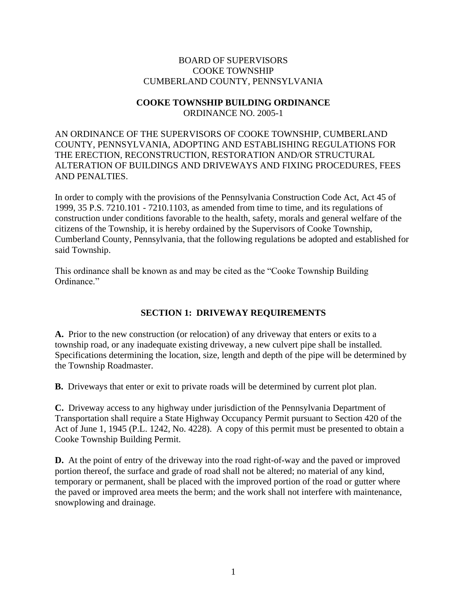# BOARD OF SUPERVISORS COOKE TOWNSHIP CUMBERLAND COUNTY, PENNSYLVANIA

#### **COOKE TOWNSHIP BUILDING ORDINANCE** ORDINANCE NO. 2005-1

AN ORDINANCE OF THE SUPERVISORS OF COOKE TOWNSHIP, CUMBERLAND COUNTY, PENNSYLVANIA, ADOPTING AND ESTABLISHING REGULATIONS FOR THE ERECTION, RECONSTRUCTION, RESTORATION AND/OR STRUCTURAL ALTERATION OF BUILDINGS AND DRIVEWAYS AND FIXING PROCEDURES, FEES AND PENALTIES.

In order to comply with the provisions of the Pennsylvania Construction Code Act, Act 45 of 1999, 35 P.S. 7210.101 - 7210.1103, as amended from time to time, and its regulations of construction under conditions favorable to the health, safety, morals and general welfare of the citizens of the Township, it is hereby ordained by the Supervisors of Cooke Township, Cumberland County, Pennsylvania, that the following regulations be adopted and established for said Township.

This ordinance shall be known as and may be cited as the "Cooke Township Building Ordinance."

# **SECTION 1: DRIVEWAY REQUIREMENTS**

**A.** Prior to the new construction (or relocation) of any driveway that enters or exits to a township road, or any inadequate existing driveway, a new culvert pipe shall be installed. Specifications determining the location, size, length and depth of the pipe will be determined by the Township Roadmaster.

**B.** Driveways that enter or exit to private roads will be determined by current plot plan.

**C.** Driveway access to any highway under jurisdiction of the Pennsylvania Department of Transportation shall require a State Highway Occupancy Permit pursuant to Section 420 of the Act of June 1, 1945 (P.L. 1242, No. 4228). A copy of this permit must be presented to obtain a Cooke Township Building Permit.

**D.** At the point of entry of the driveway into the road right-of-way and the paved or improved portion thereof, the surface and grade of road shall not be altered; no material of any kind, temporary or permanent, shall be placed with the improved portion of the road or gutter where the paved or improved area meets the berm; and the work shall not interfere with maintenance, snowplowing and drainage.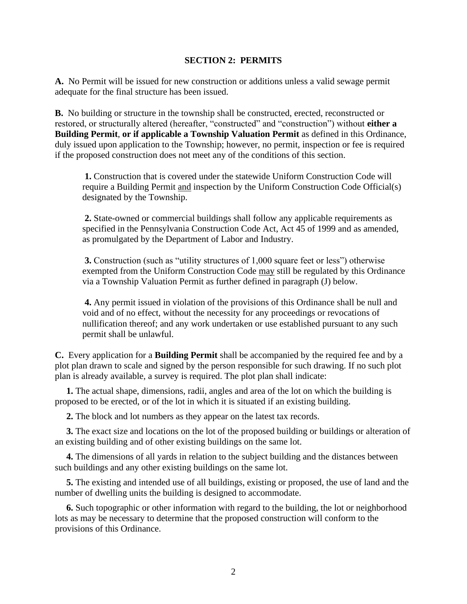#### **SECTION 2: PERMITS**

**A.** No Permit will be issued for new construction or additions unless a valid sewage permit adequate for the final structure has been issued.

**B.** No building or structure in the township shall be constructed, erected, reconstructed or restored, or structurally altered (hereafter, "constructed" and "construction") without **either a Building Permit**, **or if applicable a Township Valuation Permit** as defined in this Ordinance, duly issued upon application to the Township; however, no permit, inspection or fee is required if the proposed construction does not meet any of the conditions of this section.

**1.** Construction that is covered under the statewide Uniform Construction Code will require a Building Permit and inspection by the Uniform Construction Code Official(s) designated by the Township.

**2.** State-owned or commercial buildings shall follow any applicable requirements as specified in the Pennsylvania Construction Code Act, Act 45 of 1999 and as amended, as promulgated by the Department of Labor and Industry.

**3.** Construction (such as "utility structures of 1,000 square feet or less") otherwise exempted from the Uniform Construction Code may still be regulated by this Ordinance via a Township Valuation Permit as further defined in paragraph (J) below.

**4.** Any permit issued in violation of the provisions of this Ordinance shall be null and void and of no effect, without the necessity for any proceedings or revocations of nullification thereof; and any work undertaken or use established pursuant to any such permit shall be unlawful.

**C.** Every application for a **Building Permit** shall be accompanied by the required fee and by a plot plan drawn to scale and signed by the person responsible for such drawing. If no such plot plan is already available, a survey is required. The plot plan shall indicate:

 **1.** The actual shape, dimensions, radii, angles and area of the lot on which the building is proposed to be erected, or of the lot in which it is situated if an existing building.

**2.** The block and lot numbers as they appear on the latest tax records.

 **3.** The exact size and locations on the lot of the proposed building or buildings or alteration of an existing building and of other existing buildings on the same lot.

 **4.** The dimensions of all yards in relation to the subject building and the distances between such buildings and any other existing buildings on the same lot.

 **5.** The existing and intended use of all buildings, existing or proposed, the use of land and the number of dwelling units the building is designed to accommodate.

 **6.** Such topographic or other information with regard to the building, the lot or neighborhood lots as may be necessary to determine that the proposed construction will conform to the provisions of this Ordinance.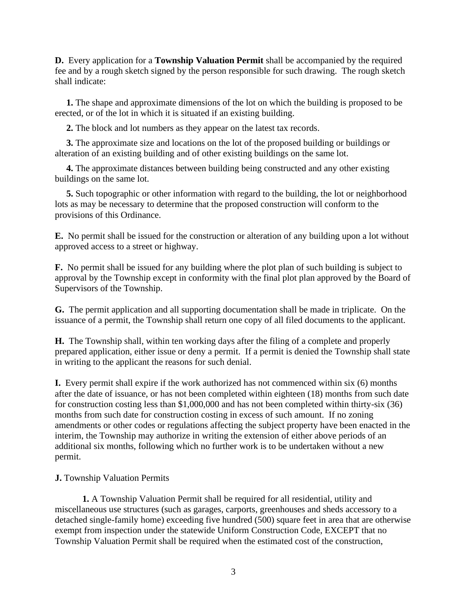**D.** Every application for a **Township Valuation Permit** shall be accompanied by the required fee and by a rough sketch signed by the person responsible for such drawing. The rough sketch shall indicate:

 **1.** The shape and approximate dimensions of the lot on which the building is proposed to be erected, or of the lot in which it is situated if an existing building.

**2.** The block and lot numbers as they appear on the latest tax records.

 **3.** The approximate size and locations on the lot of the proposed building or buildings or alteration of an existing building and of other existing buildings on the same lot.

 **4.** The approximate distances between building being constructed and any other existing buildings on the same lot.

 **5.** Such topographic or other information with regard to the building, the lot or neighborhood lots as may be necessary to determine that the proposed construction will conform to the provisions of this Ordinance.

**E.** No permit shall be issued for the construction or alteration of any building upon a lot without approved access to a street or highway.

**F.** No permit shall be issued for any building where the plot plan of such building is subject to approval by the Township except in conformity with the final plot plan approved by the Board of Supervisors of the Township.

**G.** The permit application and all supporting documentation shall be made in triplicate. On the issuance of a permit, the Township shall return one copy of all filed documents to the applicant.

**H.** The Township shall, within ten working days after the filing of a complete and properly prepared application, either issue or deny a permit. If a permit is denied the Township shall state in writing to the applicant the reasons for such denial.

**I.** Every permit shall expire if the work authorized has not commenced within six (6) months after the date of issuance, or has not been completed within eighteen (18) months from such date for construction costing less than \$1,000,000 and has not been completed within thirty-six (36) months from such date for construction costing in excess of such amount. If no zoning amendments or other codes or regulations affecting the subject property have been enacted in the interim, the Township may authorize in writing the extension of either above periods of an additional six months, following which no further work is to be undertaken without a new permit.

# **J.** Township Valuation Permits

**1.** A Township Valuation Permit shall be required for all residential, utility and miscellaneous use structures (such as garages, carports, greenhouses and sheds accessory to a detached single-family home) exceeding five hundred (500) square feet in area that are otherwise exempt from inspection under the statewide Uniform Construction Code, EXCEPT that no Township Valuation Permit shall be required when the estimated cost of the construction,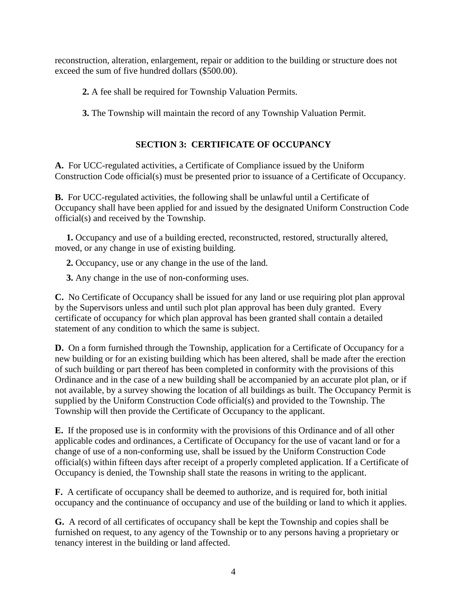reconstruction, alteration, enlargement, repair or addition to the building or structure does not exceed the sum of five hundred dollars (\$500.00).

- **2.** A fee shall be required for Township Valuation Permits.
- **3.** The Township will maintain the record of any Township Valuation Permit.

# **SECTION 3: CERTIFICATE OF OCCUPANCY**

**A.** For UCC-regulated activities, a Certificate of Compliance issued by the Uniform Construction Code official(s) must be presented prior to issuance of a Certificate of Occupancy.

**B.** For UCC-regulated activities, the following shall be unlawful until a Certificate of Occupancy shall have been applied for and issued by the designated Uniform Construction Code official(s) and received by the Township.

 **1.** Occupancy and use of a building erected, reconstructed, restored, structurally altered, moved, or any change in use of existing building.

**2.** Occupancy, use or any change in the use of the land.

**3.** Any change in the use of non-conforming uses.

**C.** No Certificate of Occupancy shall be issued for any land or use requiring plot plan approval by the Supervisors unless and until such plot plan approval has been duly granted. Every certificate of occupancy for which plan approval has been granted shall contain a detailed statement of any condition to which the same is subject.

**D.** On a form furnished through the Township, application for a Certificate of Occupancy for a new building or for an existing building which has been altered, shall be made after the erection of such building or part thereof has been completed in conformity with the provisions of this Ordinance and in the case of a new building shall be accompanied by an accurate plot plan, or if not available, by a survey showing the location of all buildings as built. The Occupancy Permit is supplied by the Uniform Construction Code official(s) and provided to the Township. The Township will then provide the Certificate of Occupancy to the applicant.

**E.** If the proposed use is in conformity with the provisions of this Ordinance and of all other applicable codes and ordinances, a Certificate of Occupancy for the use of vacant land or for a change of use of a non-conforming use, shall be issued by the Uniform Construction Code official(s) within fifteen days after receipt of a properly completed application. If a Certificate of Occupancy is denied, the Township shall state the reasons in writing to the applicant.

**F.** A certificate of occupancy shall be deemed to authorize, and is required for, both initial occupancy and the continuance of occupancy and use of the building or land to which it applies.

**G.** A record of all certificates of occupancy shall be kept the Township and copies shall be furnished on request, to any agency of the Township or to any persons having a proprietary or tenancy interest in the building or land affected.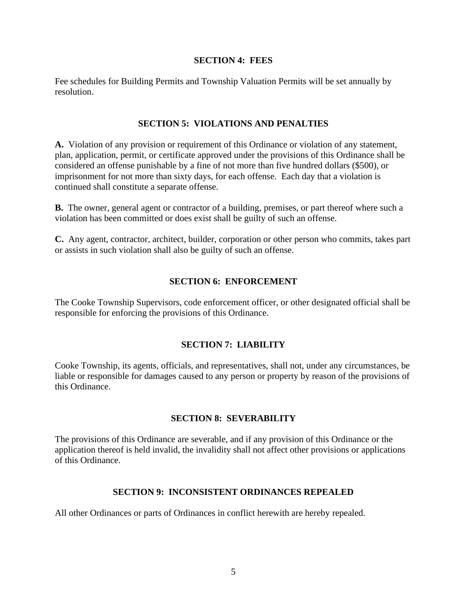#### **SECTION 4: FEES**

Fee schedules for Building Permits and Township Valuation Permits will be set annually by resolution.

#### **SECTION 5: VIOLATIONS AND PENALTIES**

**A.** Violation of any provision or requirement of this Ordinance or violation of any statement, plan, application, permit, or certificate approved under the provisions of this Ordinance shall be considered an offense punishable by a fine of not more than five hundred dollars (\$500), or imprisonment for not more than sixty days, for each offense. Each day that a violation is continued shall constitute a separate offense.

**B.** The owner, general agent or contractor of a building, premises, or part thereof where such a violation has been committed or does exist shall be guilty of such an offense.

**C.** Any agent, contractor, architect, builder, corporation or other person who commits, takes part or assists in such violation shall also be guilty of such an offense.

## **SECTION 6: ENFORCEMENT**

The Cooke Township Supervisors, code enforcement officer, or other designated official shall be responsible for enforcing the provisions of this Ordinance.

## **SECTION 7: LIABILITY**

Cooke Township, its agents, officials, and representatives, shall not, under any circumstances, be liable or responsible for damages caused to any person or property by reason of the provisions of this Ordinance.

## **SECTION 8: SEVERABILITY**

The provisions of this Ordinance are severable, and if any provision of this Ordinance or the application thereof is held invalid, the invalidity shall not affect other provisions or applications of this Ordinance.

# **SECTION 9: INCONSISTENT ORDINANCES REPEALED**

All other Ordinances or parts of Ordinances in conflict herewith are hereby repealed.